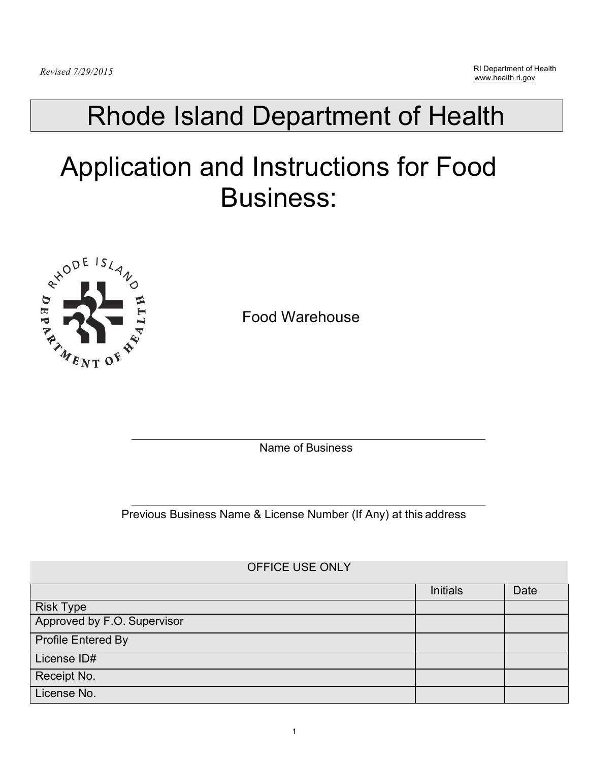## Rhode Island Department of Health

# Application and Instructions for Food Business:



Food Warehouse

Name of Business

Previous Business Name & License Number (If Any) at this address

### OFFICE USE ONLY

|                             | <b>Initials</b> | Date |
|-----------------------------|-----------------|------|
| <b>Risk Type</b>            |                 |      |
| Approved by F.O. Supervisor |                 |      |
| Profile Entered By          |                 |      |
| License ID#                 |                 |      |
| Receipt No.                 |                 |      |
| License No.                 |                 |      |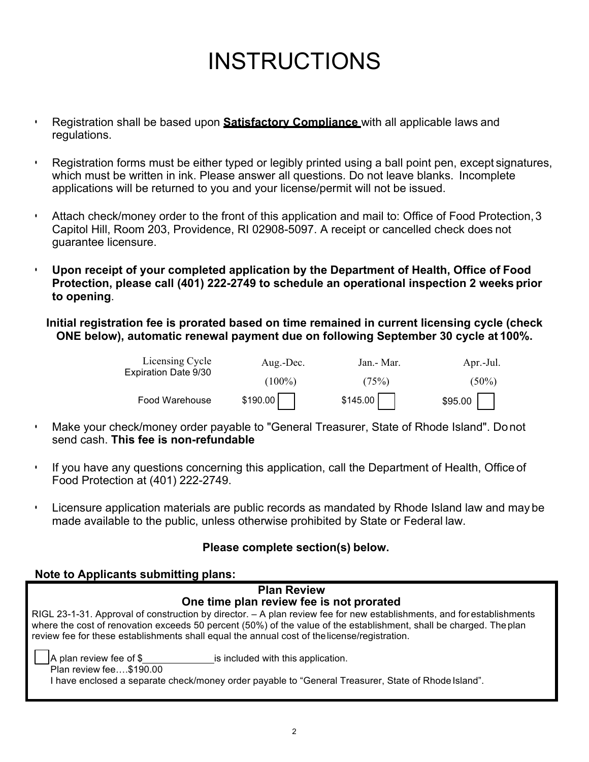## INSTRUCTIONS

- Registration shall be based upon **Satisfactory Compliance** with all applicable laws and regulations.
- Registration forms must be either typed or legibly printed using a ball point pen, except signatures, which must be written in ink. Please answer all questions. Do not leave blanks. Incomplete applications will be returned to you and your license/permit will not be issued.
- Attach check/money order to the front of this application and mail to: Office of Food Protection, 3 Capitol Hill, Room 203, Providence, RI 02908-5097. A receipt or cancelled check does not guarantee licensure.
- **Upon receipt of your completed application by the Department of Health, Office of Food Protection, please call (401) 222-2749 to schedule an operational inspection 2 weeks prior to opening**.

**Initial registration fee is prorated based on time remained in current licensing cycle (check ONE below), automatic renewal payment due on following September 30 cycle at 100%.**

| Licensing Cycle      | Aug.-Dec. | Jan.- Mar. | Apr.-Jul. |
|----------------------|-----------|------------|-----------|
| Expiration Date 9/30 | $(100\%)$ | (75%)      | $(50\%)$  |
| Food Warehouse       | \$190.00  | \$145.00   | \$95.00   |

- Make your check/money order payable to "General Treasurer, State of Rhode Island". Do not send cash. **This fee is non-refundable**
- If you have any questions concerning this application, call the Department of Health, Office of Food Protection at (401) 222-2749.
- Licensure application materials are public records as mandated by Rhode Island law and may be made available to the public, unless otherwise prohibited by State or Federal law.

### **Please complete section(s) below.**

#### **Note to Applicants submitting plans:**

|                                                            | <b>Plan Review</b>                                                                                                                                                                                                                                                                                                                            |
|------------------------------------------------------------|-----------------------------------------------------------------------------------------------------------------------------------------------------------------------------------------------------------------------------------------------------------------------------------------------------------------------------------------------|
|                                                            | One time plan review fee is not prorated                                                                                                                                                                                                                                                                                                      |
|                                                            | RIGL 23-1-31. Approval of construction by director. – A plan review fee for new establishments, and for establishments<br>where the cost of renovation exceeds 50 percent (50%) of the value of the establishment, shall be charged. The plan<br>review fee for these establishments shall equal the annual cost of the license/registration. |
| $\vert$ A plan review fee of \$<br>Plan review fee\$190.00 | is included with this application.                                                                                                                                                                                                                                                                                                            |
|                                                            | have enclosed a separate check/money order payable to "General Treasurer, State of Rhode Island".                                                                                                                                                                                                                                             |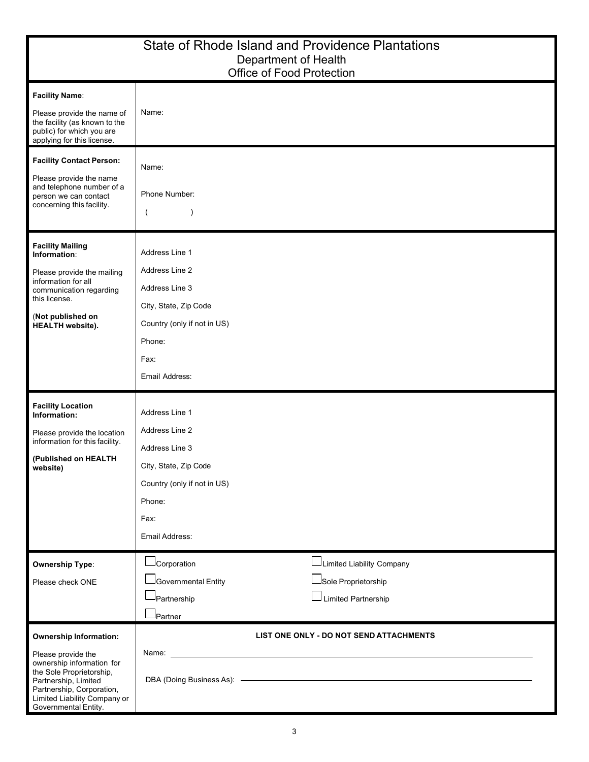|                                                                                                                                                                                                                           | State of Rhode Island and Providence Plantations<br>Department of Health<br>Office of Food Protection                                                                                                                                                                     |
|---------------------------------------------------------------------------------------------------------------------------------------------------------------------------------------------------------------------------|---------------------------------------------------------------------------------------------------------------------------------------------------------------------------------------------------------------------------------------------------------------------------|
| <b>Facility Name:</b><br>Please provide the name of<br>the facility (as known to the<br>public) for which you are<br>applying for this license.                                                                           | Name:                                                                                                                                                                                                                                                                     |
| <b>Facility Contact Person:</b><br>Please provide the name<br>and telephone number of a<br>person we can contact<br>concerning this facility.                                                                             | Name:<br>Phone Number:<br>$\left($<br>$\lambda$                                                                                                                                                                                                                           |
| <b>Facility Mailing</b><br>Information:<br>Please provide the mailing<br>information for all<br>communication regarding<br>this license.<br>(Not published on<br><b>HEALTH</b> website).                                  | Address Line 1<br>Address Line 2<br>Address Line 3<br>City, State, Zip Code<br>Country (only if not in US)<br>Phone:<br>Fax:<br>Email Address:                                                                                                                            |
| <b>Facility Location</b><br>Information:<br>Please provide the location<br>information for this facility.<br>(Published on HEALTH<br>website)                                                                             | Address Line 1<br>Address Line 2<br>Address Line 3<br>City, State, Zip Code<br>Country (only if not in US)<br>Phone:<br>Fax:<br>Email Address:                                                                                                                            |
| <b>Ownership Type:</b><br>Please check ONE                                                                                                                                                                                | Limited Liability Company<br>JCorporation<br>$\sqcup$ Sole Proprietorship<br>Governmental Entity<br>Limited Partnership<br>Partnership<br>J <sub>Partner</sub>                                                                                                            |
| <b>Ownership Information:</b><br>Please provide the<br>ownership information for<br>the Sole Proprietorship,<br>Partnership, Limited<br>Partnership, Corporation,<br>Limited Liability Company or<br>Governmental Entity. | LIST ONE ONLY - DO NOT SEND ATTACHMENTS<br>Name: Name: All and the state of the state of the state of the state of the state of the state of the state of the state of the state of the state of the state of the state of the state of the state of the state of the sta |